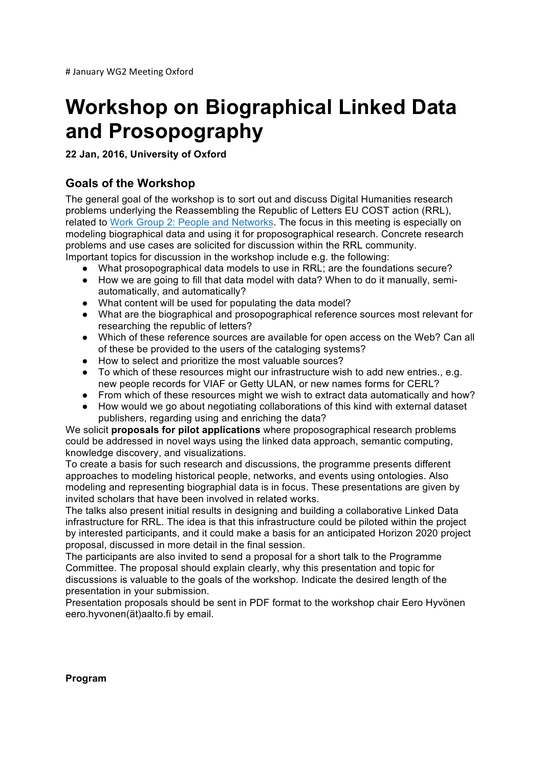# **Workshop on Biographical Linked Data and Prosopography**

**22 Jan, 2016, University of Oxford**

## **Goals of the Workshop**

The general goal of the workshop is to sort out and discuss Digital Humanities research problems underlying the Reassembling the Republic of Letters EU COST action (RRL), related to Work Group 2: People and Networks. The focus in this meeting is especially on modeling biographical data and using it for proposographical research. Concrete research problems and use cases are solicited for discussion within the RRL community. Important topics for discussion in the workshop include e.g. the following:

- 
- What prosopographical data models to use in RRL; are the foundations secure?
- How we are going to fill that data model with data? When to do it manually, semiautomatically, and automatically?
- What content will be used for populating the data model?
- What are the biographical and prosopographical reference sources most relevant for researching the republic of letters?
- Which of these reference sources are available for open access on the Web? Can all of these be provided to the users of the cataloging systems?
- How to select and prioritize the most valuable sources?
- To which of these resources might our infrastructure wish to add new entries., e.g. new people records for VIAF or Getty ULAN, or new names forms for CERL?
- From which of these resources might we wish to extract data automatically and how?
- How would we go about negotiating collaborations of this kind with external dataset publishers, regarding using and enriching the data?

We solicit **proposals for pilot applications** where proposographical research problems could be addressed in novel ways using the linked data approach, semantic computing, knowledge discovery, and visualizations.

To create a basis for such research and discussions, the programme presents different approaches to modeling historical people, networks, and events using ontologies. Also modeling and representing biographial data is in focus. These presentations are given by invited scholars that have been involved in related works.

The talks also present initial results in designing and building a collaborative Linked Data infrastructure for RRL. The idea is that this infrastructure could be piloted within the project by interested participants, and it could make a basis for an anticipated Horizon 2020 project proposal, discussed in more detail in the final session.

The participants are also invited to send a proposal for a short talk to the Programme Committee. The proposal should explain clearly, why this presentation and topic for discussions is valuable to the goals of the workshop. Indicate the desired length of the presentation in your submission.

Presentation proposals should be sent in PDF format to the workshop chair Eero Hyvönen eero.hyvonen(ät)aalto.fi by email.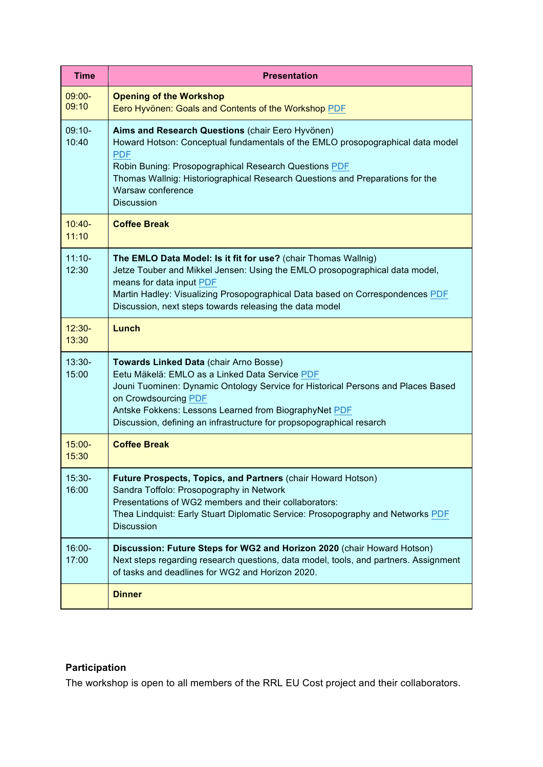| <b>Time</b>        | <b>Presentation</b>                                                                                                                                                                                                                                                                                                                   |
|--------------------|---------------------------------------------------------------------------------------------------------------------------------------------------------------------------------------------------------------------------------------------------------------------------------------------------------------------------------------|
| $09:00 -$<br>09:10 | <b>Opening of the Workshop</b><br>Eero Hyvönen: Goals and Contents of the Workshop PDF                                                                                                                                                                                                                                                |
| $09:10-$<br>10:40  | Aims and Research Questions (chair Eero Hyvönen)<br>Howard Hotson: Conceptual fundamentals of the EMLO prosopographical data model<br><b>PDF</b><br>Robin Buning: Prosopographical Research Questions PDF<br>Thomas Wallnig: Historiographical Research Questions and Preparations for the<br>Warsaw conference<br><b>Discussion</b>  |
| $10:40-$<br>11:10  | <b>Coffee Break</b>                                                                                                                                                                                                                                                                                                                   |
| $11:10-$<br>12:30  | The EMLO Data Model: Is it fit for use? (chair Thomas Wallnig)<br>Jetze Touber and Mikkel Jensen: Using the EMLO prosopographical data model,<br>means for data input PDF<br>Martin Hadley: Visualizing Prosopographical Data based on Correspondences PDF<br>Discussion, next steps towards releasing the data model                 |
| $12:30-$<br>13:30  | Lunch                                                                                                                                                                                                                                                                                                                                 |
| $13:30-$<br>15:00  | Towards Linked Data (chair Arno Bosse)<br>Eetu Mäkelä: EMLO as a Linked Data Service PDF<br>Jouni Tuominen: Dynamic Ontology Service for Historical Persons and Places Based<br>on Crowdsourcing PDF<br>Antske Fokkens: Lessons Learned from BiographyNet PDF<br>Discussion, defining an infrastructure for propsopographical resarch |
| $15:00 -$<br>15:30 | <b>Coffee Break</b>                                                                                                                                                                                                                                                                                                                   |
| 15:30-<br>16:00    | Future Prospects, Topics, and Partners (chair Howard Hotson)<br>Sandra Toffolo: Prosopography in Network<br>Presentations of WG2 members and their collaborators:<br>Thea Lindquist: Early Stuart Diplomatic Service: Prosopography and Networks PDF<br><b>Discussion</b>                                                             |
| 16:00-<br>17:00    | Discussion: Future Steps for WG2 and Horizon 2020 (chair Howard Hotson)<br>Next steps regarding research questions, data model, tools, and partners. Assignment<br>of tasks and deadlines for WG2 and Horizon 2020.                                                                                                                   |
|                    | <b>Dinner</b>                                                                                                                                                                                                                                                                                                                         |

# **Participation**

The workshop is open to all members of the RRL EU Cost project and their collaborators.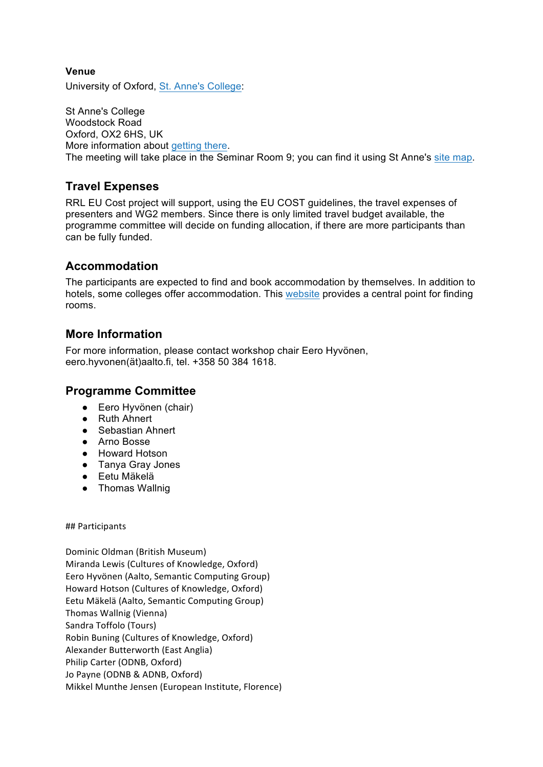## **Venue**

University of Oxford, St. Anne's College:

St Anne's College Woodstock Road Oxford, OX2 6HS, UK More information about getting there. The meeting will take place in the Seminar Room 9; you can find it using St Anne's site map.

## **Travel Expenses**

RRL EU Cost project will support, using the EU COST guidelines, the travel expenses of presenters and WG2 members. Since there is only limited travel budget available, the programme committee will decide on funding allocation, if there are more participants than can be fully funded.

## **Accommodation**

The participants are expected to find and book accommodation by themselves. In addition to hotels, some colleges offer accommodation. This website provides a central point for finding rooms.

## **More Information**

For more information, please contact workshop chair Eero Hyvönen, eero.hyvonen(ät)aalto.fi, tel. +358 50 384 1618.

## **Programme Committee**

- Eero Hyvönen (chair)
- Ruth Ahnert
- Sebastian Ahnert
- Arno Bosse
- Howard Hotson
- Tanya Gray Jones
- Eetu Mäkelä
- Thomas Wallnig

## Participants

Dominic Oldman (British Museum) Miranda Lewis (Cultures of Knowledge, Oxford) Eero Hyvönen (Aalto, Semantic Computing Group) Howard Hotson (Cultures of Knowledge, Oxford) Eetu Mäkelä (Aalto, Semantic Computing Group) Thomas Wallnig (Vienna) Sandra Toffolo (Tours) Robin Buning (Cultures of Knowledge, Oxford) Alexander Butterworth (East Anglia) Philip Carter (ODNB, Oxford) Jo Payne (ODNB & ADNB, Oxford) Mikkel Munthe Jensen (European Institute, Florence)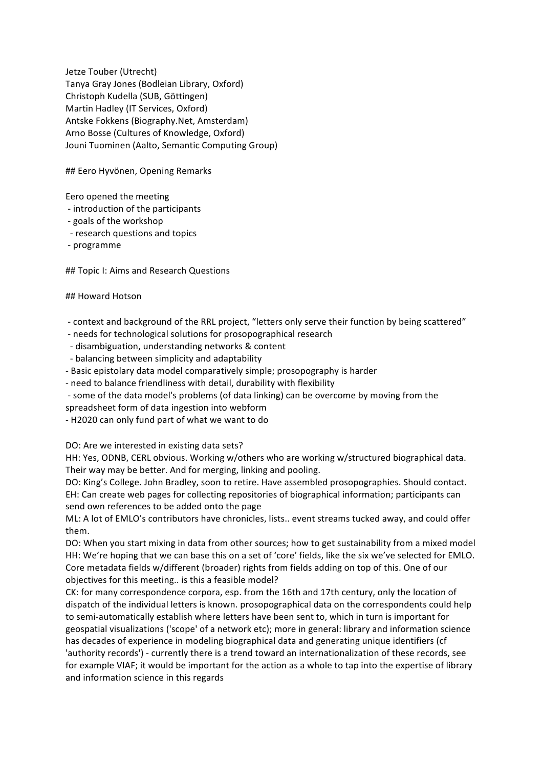Jetze Touber (Utrecht) Tanya Gray Jones (Bodleian Library, Oxford) Christoph Kudella (SUB, Göttingen) Martin Hadley (IT Services, Oxford) Antske Fokkens (Biography.Net, Amsterdam) Arno Bosse (Cultures of Knowledge, Oxford) Jouni Tuominen (Aalto, Semantic Computing Group)

## Eero Hyvönen, Opening Remarks

Eero opened the meeting

- introduction of the participants
- goals of the workshop
- research questions and topics
- programme

## Topic I: Aims and Research Questions

### ## Howard Hotson

- context and background of the RRL project, "letters only serve their function by being scattered"
- needs for technological solutions for prosopographical research
- disambiguation, understanding networks & content
- balancing between simplicity and adaptability
- Basic epistolary data model comparatively simple; prosopography is harder
- need to balance friendliness with detail, durability with flexibility
- some of the data model's problems (of data linking) can be overcome by moving from the spreadsheet form of data ingestion into webform
- H2020 can only fund part of what we want to do

DO: Are we interested in existing data sets?

HH: Yes, ODNB, CERL obvious. Working w/others who are working w/structured biographical data. Their way may be better. And for merging, linking and pooling.

DO: King's College. John Bradley, soon to retire. Have assembled prosopographies. Should contact. EH: Can create web pages for collecting repositories of biographical information; participants can send own references to be added onto the page

ML: A lot of EMLO's contributors have chronicles, lists.. event streams tucked away, and could offer them.

DO: When you start mixing in data from other sources; how to get sustainability from a mixed model HH: We're hoping that we can base this on a set of 'core' fields, like the six we've selected for EMLO. Core metadata fields w/different (broader) rights from fields adding on top of this. One of our objectives for this meeting.. is this a feasible model?

CK: for many correspondence corpora, esp. from the 16th and 17th century, only the location of dispatch of the individual letters is known. prosopographical data on the correspondents could help to semi-automatically establish where letters have been sent to, which in turn is important for geospatial visualizations ('scope' of a network etc); more in general: library and information science has decades of experience in modeling biographical data and generating unique identifiers (cf 'authority records') - currently there is a trend toward an internationalization of these records, see for example VIAF; it would be important for the action as a whole to tap into the expertise of library and information science in this regards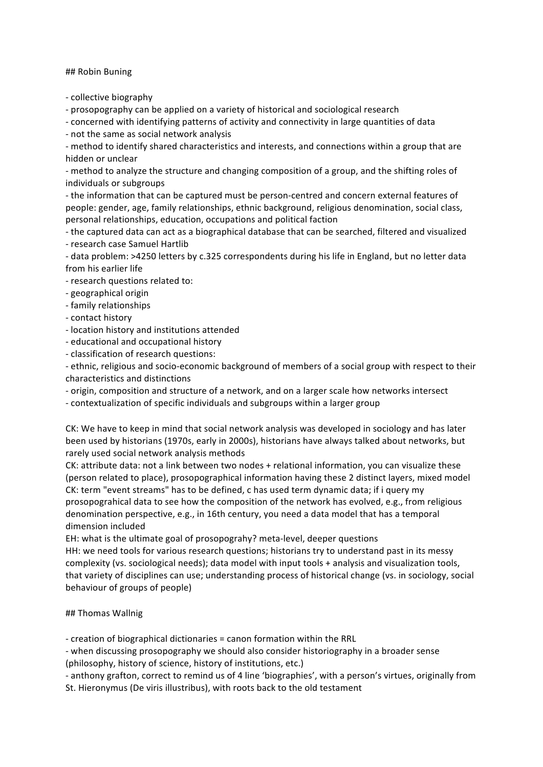## Robin Buning

- collective biography

- prosopography can be applied on a variety of historical and sociological research

- concerned with identifying patterns of activity and connectivity in large quantities of data

- not the same as social network analysis

- method to identify shared characteristics and interests, and connections within a group that are hidden or unclear

- method to analyze the structure and changing composition of a group, and the shifting roles of individuals or subgroups

- the information that can be captured must be person-centred and concern external features of people: gender, age, family relationships, ethnic background, religious denomination, social class, personal relationships, education, occupations and political faction

- the captured data can act as a biographical database that can be searched, filtered and visualized - research case Samuel Hartlib

- data problem: >4250 letters by c.325 correspondents during his life in England, but no letter data from his earlier life

- research questions related to:

- geographical origin

- family relationships

- contact history
- location history and institutions attended
- educational and occupational history
- classification of research questions:

- ethnic, religious and socio-economic background of members of a social group with respect to their characteristics and distinctions

- origin, composition and structure of a network, and on a larger scale how networks intersect

- contextualization of specific individuals and subgroups within a larger group

CK: We have to keep in mind that social network analysis was developed in sociology and has later been used by historians (1970s, early in 2000s), historians have always talked about networks, but rarely used social network analysis methods

CK: attribute data: not a link between two nodes + relational information, you can visualize these (person related to place), prosopographical information having these 2 distinct layers, mixed model CK: term "event streams" has to be defined, c has used term dynamic data; if i query my prosopograhical data to see how the composition of the network has evolved, e.g., from religious denomination perspective, e.g., in 16th century, you need a data model that has a temporal dimension included

EH: what is the ultimate goal of prosopograhy? meta-level, deeper questions

HH: we need tools for various research questions; historians try to understand past in its messy complexity (vs. sociological needs); data model with input tools + analysis and visualization tools, that variety of disciplines can use; understanding process of historical change (vs. in sociology, social behaviour of groups of people)

### ## Thomas Wallnig

- creation of biographical dictionaries = canon formation within the RRL

- when discussing prosopography we should also consider historiography in a broader sense (philosophy, history of science, history of institutions, etc.)

- anthony grafton, correct to remind us of 4 line 'biographies', with a person's virtues, originally from St. Hieronymus (De viris illustribus), with roots back to the old testament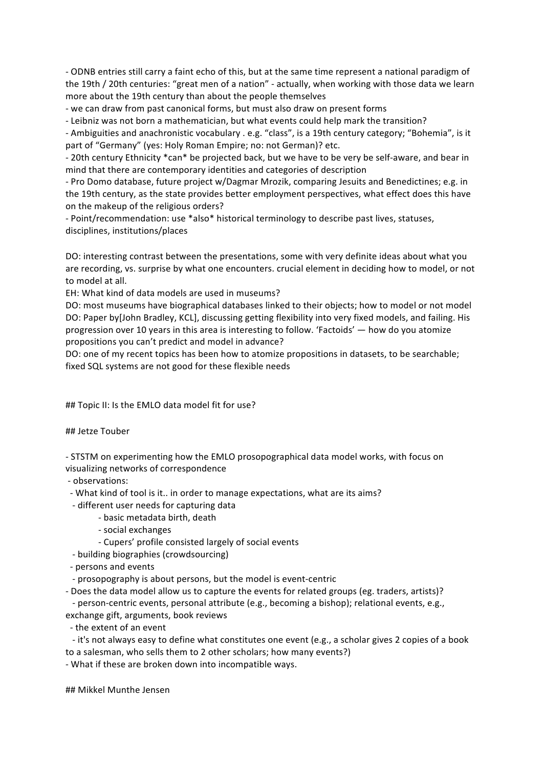- ODNB entries still carry a faint echo of this, but at the same time represent a national paradigm of the 19th / 20th centuries: "great men of a nation" - actually, when working with those data we learn more about the 19th century than about the people themselves

- we can draw from past canonical forms, but must also draw on present forms

- Leibniz was not born a mathematician, but what events could help mark the transition?

- Ambiguities and anachronistic vocabulary . e.g. "class", is a 19th century category; "Bohemia", is it part of "Germany" (yes: Holy Roman Empire; no: not German)? etc.

- 20th century Ethnicity \*can\* be projected back, but we have to be very be self-aware, and bear in mind that there are contemporary identities and categories of description

- Pro Domo database, future project w/Dagmar Mrozik, comparing Jesuits and Benedictines; e.g. in the 19th century, as the state provides better employment perspectives, what effect does this have on the makeup of the religious orders?

- Point/recommendation: use \*also\* historical terminology to describe past lives, statuses, disciplines, institutions/places

DO: interesting contrast between the presentations, some with very definite ideas about what you are recording, vs. surprise by what one encounters. crucial element in deciding how to model, or not to model at all.

EH: What kind of data models are used in museums?

DO: most museums have biographical databases linked to their objects; how to model or not model DO: Paper by[John Bradley, KCL], discussing getting flexibility into very fixed models, and failing. His progression over 10 years in this area is interesting to follow. 'Factoids'  $-$  how do you atomize propositions you can't predict and model in advance?

DO: one of my recent topics has been how to atomize propositions in datasets, to be searchable; fixed SQL systems are not good for these flexible needs

## Topic II: Is the EMLO data model fit for use?

## Jetze Touber

- STSTM on experimenting how the EMLO prosopographical data model works, with focus on visualizing networks of correspondence

- observations:

- What kind of tool is it.. in order to manage expectations, what are its aims?

- different user needs for capturing data

- basic metadata birth, death
- social exchanges
- Cupers' profile consisted largely of social events

- building biographies (crowdsourcing)

- persons and events

- prosopography is about persons, but the model is event-centric

- Does the data model allow us to capture the events for related groups (eg. traders, artists)? - person-centric events, personal attribute (e.g., becoming a bishop); relational events, e.g.,

exchange gift, arguments, book reviews

- the extent of an event

- it's not always easy to define what constitutes one event (e.g., a scholar gives 2 copies of a book to a salesman, who sells them to 2 other scholars; how many events?)

- What if these are broken down into incompatible ways.

## Mikkel Munthe Jensen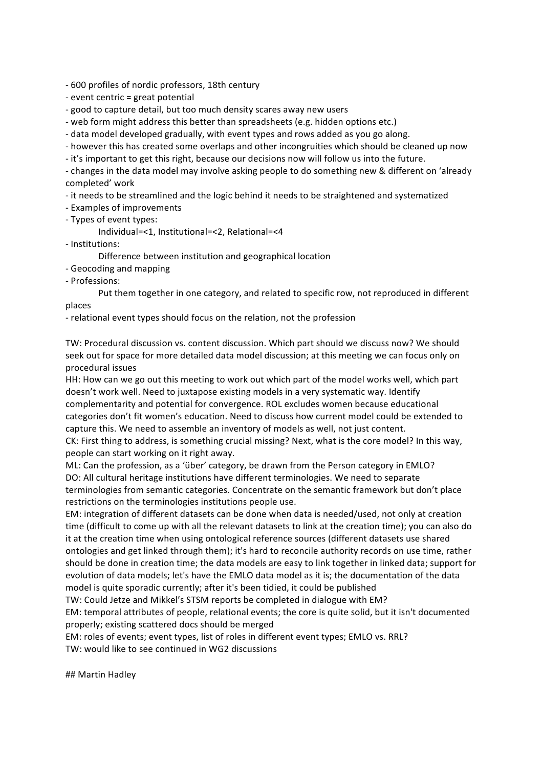- 600 profiles of nordic professors, 18th century

 $-e$  vent centric = great potential

- good to capture detail, but too much density scares away new users

- web form might address this better than spreadsheets (e.g. hidden options etc.)

- data model developed gradually, with event types and rows added as you go along.

- however this has created some overlaps and other incongruities which should be cleaned up now

- it's important to get this right, because our decisions now will follow us into the future.

- changes in the data model may involve asking people to do something new & different on 'already completed' work

- it needs to be streamlined and the logic behind it needs to be straightened and systematized

- Examples of improvements
- Types of event types:

Individual=<1, Institutional=<2, Relational=<4

- Institutions:

Difference between institution and geographical location

- Geocoding and mapping
- Professions:

Put them together in one category, and related to specific row, not reproduced in different places

- relational event types should focus on the relation, not the profession

TW: Procedural discussion vs. content discussion. Which part should we discuss now? We should seek out for space for more detailed data model discussion; at this meeting we can focus only on procedural issues

HH: How can we go out this meeting to work out which part of the model works well, which part doesn't work well. Need to juxtapose existing models in a very systematic way. Identify complementarity and potential for convergence. ROL excludes women because educational categories don't fit women's education. Need to discuss how current model could be extended to capture this. We need to assemble an inventory of models as well, not just content.

CK: First thing to address, is something crucial missing? Next, what is the core model? In this way, people can start working on it right away.

ML: Can the profession, as a 'über' category, be drawn from the Person category in EMLO? DO: All cultural heritage institutions have different terminologies. We need to separate terminologies from semantic categories. Concentrate on the semantic framework but don't place restrictions on the terminologies institutions people use.

EM: integration of different datasets can be done when data is needed/used, not only at creation time (difficult to come up with all the relevant datasets to link at the creation time); you can also do it at the creation time when using ontological reference sources (different datasets use shared ontologies and get linked through them); it's hard to reconcile authority records on use time, rather should be done in creation time; the data models are easy to link together in linked data; support for evolution of data models; let's have the EMLO data model as it is; the documentation of the data model is quite sporadic currently; after it's been tidied, it could be published

TW: Could Jetze and Mikkel's STSM reports be completed in dialogue with EM?

EM: temporal attributes of people, relational events; the core is quite solid, but it isn't documented properly; existing scattered docs should be merged

EM: roles of events; event types, list of roles in different event types; EMLO vs. RRL?

TW: would like to see continued in WG2 discussions

## Martin Hadlev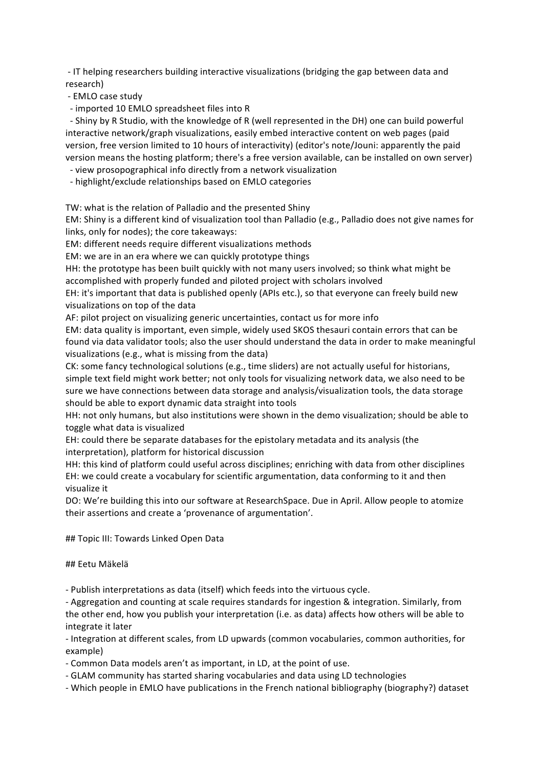- IT helping researchers building interactive visualizations (bridging the gap between data and research)

- EMLO case study
- imported 10 EMLO spreadsheet files into R

- Shiny by R Studio, with the knowledge of R (well represented in the DH) one can build powerful interactive network/graph visualizations, easily embed interactive content on web pages (paid version, free version limited to 10 hours of interactivity) (editor's note/Jouni: apparently the paid version means the hosting platform; there's a free version available, can be installed on own server)

- view prosopographical info directly from a network visualization

- highlight/exclude relationships based on EMLO categories

TW: what is the relation of Palladio and the presented Shiny

EM: Shiny is a different kind of visualization tool than Palladio (e.g., Palladio does not give names for links, only for nodes); the core takeaways:

EM: different needs require different visualizations methods

EM: we are in an era where we can quickly prototype things

HH: the prototype has been built quickly with not many users involved; so think what might be accomplished with properly funded and piloted project with scholars involved

EH: it's important that data is published openly (APIs etc.), so that everyone can freely build new visualizations on top of the data

AF: pilot project on visualizing generic uncertainties, contact us for more info

EM: data quality is important, even simple, widely used SKOS thesauri contain errors that can be found via data validator tools; also the user should understand the data in order to make meaningful visualizations (e.g., what is missing from the data)

CK: some fancy technological solutions (e.g., time sliders) are not actually useful for historians, simple text field might work better; not only tools for visualizing network data, we also need to be sure we have connections between data storage and analysis/visualization tools, the data storage should be able to export dynamic data straight into tools

HH: not only humans, but also institutions were shown in the demo visualization; should be able to toggle what data is visualized

EH: could there be separate databases for the epistolary metadata and its analysis (the interpretation), platform for historical discussion

HH: this kind of platform could useful across disciplines; enriching with data from other disciplines EH: we could create a vocabulary for scientific argumentation, data conforming to it and then visualize it

DO: We're building this into our software at ResearchSpace. Due in April. Allow people to atomize their assertions and create a 'provenance of argumentation'.

## Topic III: Towards Linked Open Data

### ## Eetu Mäkelä

- Publish interpretations as data (itself) which feeds into the virtuous cycle.

- Aggregation and counting at scale requires standards for ingestion & integration. Similarly, from the other end, how you publish your interpretation (i.e. as data) affects how others will be able to integrate it later

- Integration at different scales, from LD upwards (common vocabularies, common authorities, for example)

- Common Data models aren't as important, in LD, at the point of use.
- GLAM community has started sharing vocabularies and data using LD technologies
- Which people in EMLO have publications in the French national bibliography (biography?) dataset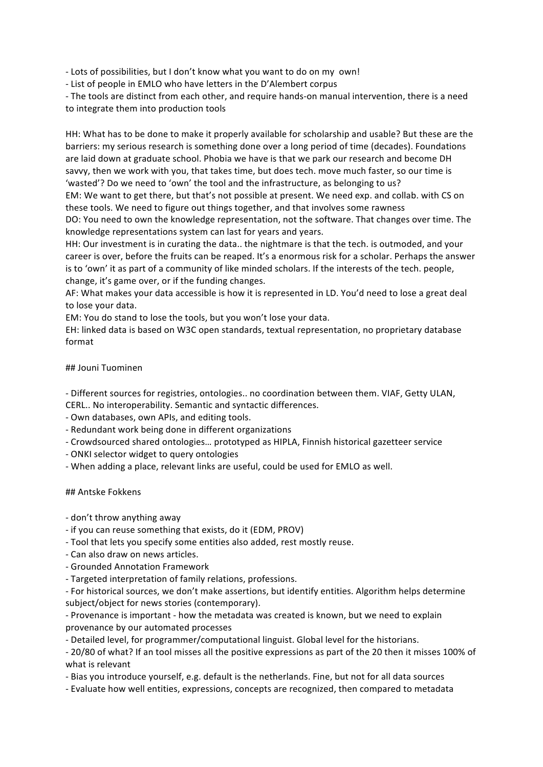- Lots of possibilities, but I don't know what you want to do on my own!

- List of people in EMLO who have letters in the D'Alembert corpus

- The tools are distinct from each other, and require hands-on manual intervention, there is a need to integrate them into production tools

HH: What has to be done to make it properly available for scholarship and usable? But these are the barriers: my serious research is something done over a long period of time (decades). Foundations are laid down at graduate school. Phobia we have is that we park our research and become DH savvy, then we work with you, that takes time, but does tech. move much faster, so our time is 'wasted'? Do we need to 'own' the tool and the infrastructure, as belonging to us?

EM: We want to get there, but that's not possible at present. We need exp. and collab. with CS on these tools. We need to figure out things together, and that involves some rawness

DO: You need to own the knowledge representation, not the software. That changes over time. The knowledge representations system can last for years and years.

HH: Our investment is in curating the data.. the nightmare is that the tech. is outmoded, and your career is over, before the fruits can be reaped. It's a enormous risk for a scholar. Perhaps the answer is to 'own' it as part of a community of like minded scholars. If the interests of the tech. people, change, it's game over, or if the funding changes.

AF: What makes your data accessible is how it is represented in LD. You'd need to lose a great deal to lose your data.

EM: You do stand to lose the tools, but you won't lose your data.

EH: linked data is based on W3C open standards, textual representation, no proprietary database format

### ## Jouni Tuominen

- Different sources for registries, ontologies.. no coordination between them. VIAF, Getty ULAN,

CERL.. No interoperability. Semantic and syntactic differences.

- Own databases, own APIs, and editing tools.

- Redundant work being done in different organizations
- Crowdsourced shared ontologies... prototyped as HIPLA, Finnish historical gazetteer service
- ONKI selector widget to query ontologies
- When adding a place, relevant links are useful, could be used for EMLO as well.

#### ## Antske Fokkens

- don't throw anything away
- if you can reuse something that exists, do it (EDM, PROV)
- Tool that lets you specify some entities also added, rest mostly reuse.
- Can also draw on news articles.
- Grounded Annotation Framework
- Targeted interpretation of family relations, professions.

- For historical sources, we don't make assertions, but identify entities. Algorithm helps determine subject/object for news stories (contemporary).

- Provenance is important - how the metadata was created is known, but we need to explain provenance by our automated processes

- Detailed level, for programmer/computational linguist. Global level for the historians.

- 20/80 of what? If an tool misses all the positive expressions as part of the 20 then it misses 100% of what is relevant

- Bias you introduce yourself, e.g. default is the netherlands. Fine, but not for all data sources

- Evaluate how well entities, expressions, concepts are recognized, then compared to metadata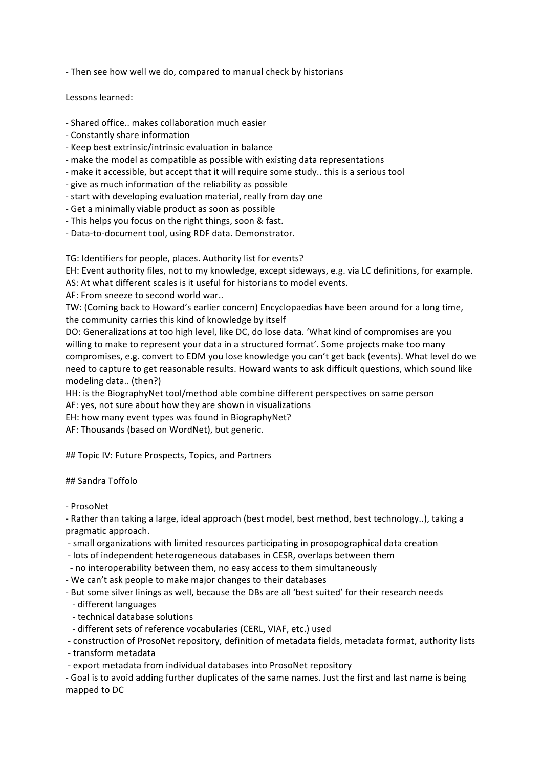- Then see how well we do, compared to manual check by historians

Lessons learned:

- Shared office.. makes collaboration much easier
- Constantly share information
- Keep best extrinsic/intrinsic evaluation in balance
- make the model as compatible as possible with existing data representations
- make it accessible, but accept that it will require some study.. this is a serious tool
- give as much information of the reliability as possible
- start with developing evaluation material, really from day one
- Get a minimally viable product as soon as possible
- This helps you focus on the right things, soon & fast.
- Data-to-document tool, using RDF data. Demonstrator.

TG: Identifiers for people, places. Authority list for events?

EH: Event authority files, not to my knowledge, except sideways, e.g. via LC definitions, for example.

AS: At what different scales is it useful for historians to model events.

AF: From sneeze to second world war...

TW: (Coming back to Howard's earlier concern) Encyclopaedias have been around for a long time, the community carries this kind of knowledge by itself

DO: Generalizations at too high level, like DC, do lose data. 'What kind of compromises are you willing to make to represent your data in a structured format'. Some projects make too many compromises, e.g. convert to EDM you lose knowledge you can't get back (events). What level do we need to capture to get reasonable results. Howard wants to ask difficult questions, which sound like modeling data.. (then?)

HH: is the BiographyNet tool/method able combine different perspectives on same person AF: yes, not sure about how they are shown in visualizations

EH: how many event types was found in BiographyNet?

AF: Thousands (based on WordNet), but generic.

## Topic IV: Future Prospects, Topics, and Partners

## Sandra Toffolo

- ProsoNet

- Rather than taking a large, ideal approach (best model, best method, best technology..), taking a pragmatic approach.

- small organizations with limited resources participating in prosopographical data creation
- lots of independent heterogeneous databases in CESR, overlaps between them
- no interoperability between them, no easy access to them simultaneously
- We can't ask people to make major changes to their databases
- But some silver linings as well, because the DBs are all 'best suited' for their research needs
- different languages
- - technical database solutions
- different sets of reference vocabularies (CERL, VIAF, etc.) used
- construction of ProsoNet repository, definition of metadata fields, metadata format, authority lists
- transform metadata
- export metadata from individual databases into ProsoNet repository

- Goal is to avoid adding further duplicates of the same names. Just the first and last name is being mapped to DC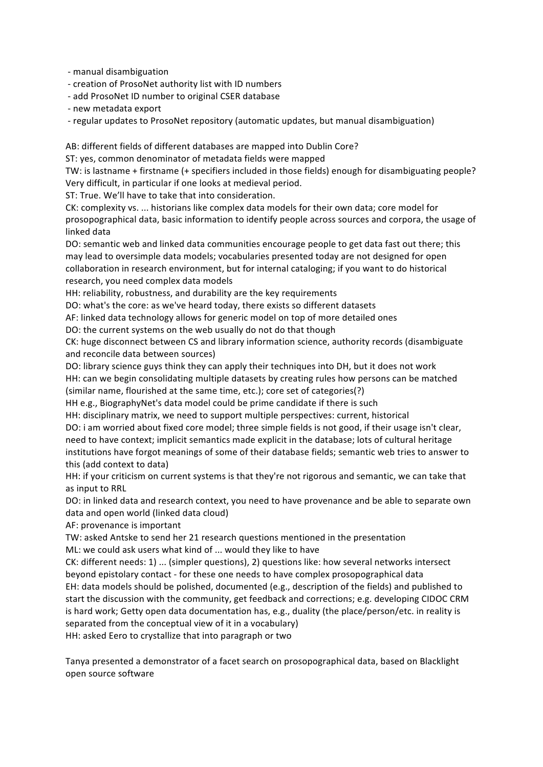- manual disambiguation

- creation of ProsoNet authority list with ID numbers

- add ProsoNet ID number to original CSER database

- new metadata export

- regular updates to ProsoNet repository (automatic updates, but manual disambiguation)

AB: different fields of different databases are mapped into Dublin Core?

ST: yes, common denominator of metadata fields were mapped

TW: is lastname + firstname (+ specifiers included in those fields) enough for disambiguating people? Very difficult, in particular if one looks at medieval period.

ST: True. We'll have to take that into consideration.

CK: complexity vs. ... historians like complex data models for their own data; core model for prosopographical data, basic information to identify people across sources and corpora, the usage of linked data

DO: semantic web and linked data communities encourage people to get data fast out there; this may lead to oversimple data models; vocabularies presented today are not designed for open collaboration in research environment, but for internal cataloging; if you want to do historical research, you need complex data models

HH: reliability, robustness, and durability are the key requirements

DO: what's the core: as we've heard today, there exists so different datasets

AF: linked data technology allows for generic model on top of more detailed ones

DO: the current systems on the web usually do not do that though

CK: huge disconnect between CS and library information science, authority records (disambiguate and reconcile data between sources)

DO: library science guys think they can apply their techniques into DH, but it does not work HH: can we begin consolidating multiple datasets by creating rules how persons can be matched (similar name, flourished at the same time, etc.); core set of categories(?)

HH e.g., BiographyNet's data model could be prime candidate if there is such

HH: disciplinary matrix, we need to support multiple perspectives: current, historical

DO: i am worried about fixed core model; three simple fields is not good, if their usage isn't clear, need to have context; implicit semantics made explicit in the database; lots of cultural heritage institutions have forgot meanings of some of their database fields; semantic web tries to answer to this (add context to data)

HH: if your criticism on current systems is that they're not rigorous and semantic, we can take that as input to RRL

DO: in linked data and research context, you need to have provenance and be able to separate own data and open world (linked data cloud)

AF: provenance is important

TW: asked Antske to send her 21 research questions mentioned in the presentation ML: we could ask users what kind of ... would they like to have

CK: different needs: 1) ... (simpler questions), 2) questions like: how several networks intersect beyond epistolary contact - for these one needs to have complex prosopographical data EH: data models should be polished, documented (e.g., description of the fields) and published to start the discussion with the community, get feedback and corrections; e.g. developing CIDOC CRM is hard work; Getty open data documentation has, e.g., duality (the place/person/etc. in reality is separated from the conceptual view of it in a vocabulary)

HH: asked Eero to crystallize that into paragraph or two

Tanya presented a demonstrator of a facet search on prosopographical data, based on Blacklight open source software